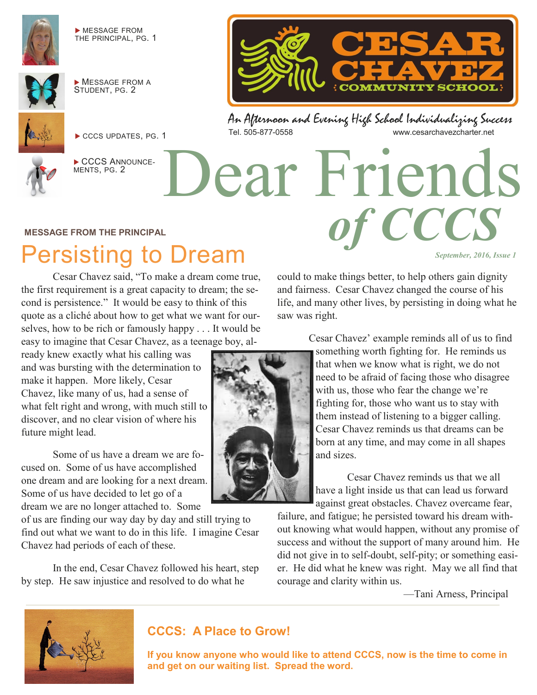

 MESSAGE FROM THE PRINCIPAL, PG. 1



**MESSAGE FROM A** STUDENT, PG. 2



CCCS UPDATES, PG. 1



CCCS ANNOUNCE-MENTS, PG. 2

An Afternoon and Evening High School Individualizing Success www.cesarchavezcharter.net

Dear Friends

#### **MESSAGE FROM THE PRINCIPAL**

# Persisting to Dream

Cesar Chavez said, "To make a dream come true, the first requirement is a great capacity to dream; the second is persistence." It would be easy to think of this quote as a cliché about how to get what we want for ourselves, how to be rich or famously happy . . . It would be easy to imagine that Cesar Chavez, as a teenage boy, al-

ready knew exactly what his calling was and was bursting with the determination to make it happen. More likely, Cesar Chavez, like many of us, had a sense of what felt right and wrong, with much still to discover, and no clear vision of where his future might lead.

Some of us have a dream we are focused on. Some of us have accomplished one dream and are looking for a next dream. Some of us have decided to let go of a dream we are no longer attached to. Some

of us are finding our way day by day and still trying to find out what we want to do in this life. I imagine Cesar Chavez had periods of each of these.

In the end, Cesar Chavez followed his heart, step by step. He saw injustice and resolved to do what he

could to make things better, to help others gain dignity and fairness. Cesar Chavez changed the course of his life, and many other lives, by persisting in doing what he saw was right.

*of CCCS*

**COMMUNITY SCHOOL** 

*September, 2016, Issue 1* 

Cesar Chavez' example reminds all of us to find something worth fighting for. He reminds us that when we know what is right, we do not need to be afraid of facing those who disagree with us, those who fear the change we're fighting for, those who want us to stay with them instead of listening to a bigger calling. Cesar Chavez reminds us that dreams can be born at any time, and may come in all shapes and sizes.

Cesar Chavez reminds us that we all have a light inside us that can lead us forward against great obstacles. Chavez overcame fear,

failure, and fatigue; he persisted toward his dream without knowing what would happen, without any promise of success and without the support of many around him. He did not give in to self-doubt, self-pity; or something easier. He did what he knew was right. May we all find that courage and clarity within us.

—Tani Arness, Principal



#### **CCCS: A Place to Grow!**

**If you know anyone who would like to attend CCCS, now is the time to come in and get on our waiting list. Spread the word.**